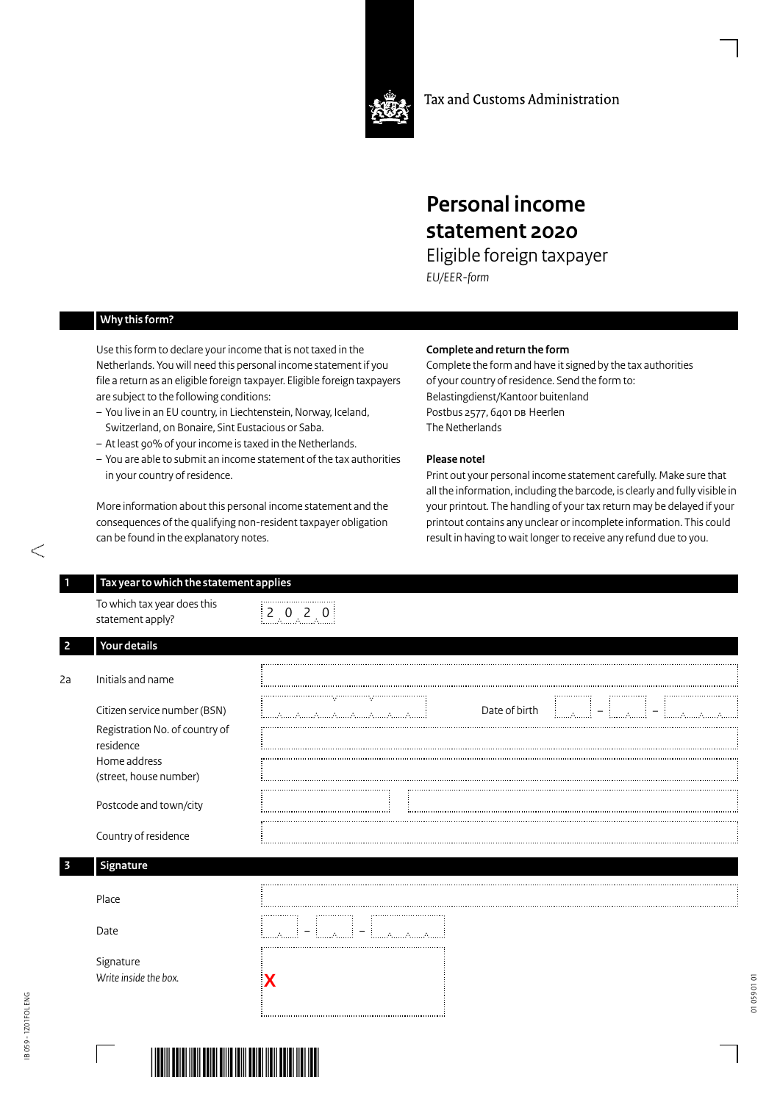

Tax and Customs Administration

## **Personal income statement 2020**

Eligible foreign taxpayer *EU/EER-form*

## **Why this form?**

Use this form to declare your income that is not taxed in the Netherlands. You will need this personal income statement if you file a return as an eligible foreign taxpayer. Eligible foreign taxpayers are subject to the following conditions:

- You live in an EU country, in Liechtenstein, Norway, Iceland, Switzerland, on Bonaire, Sint Eustacious or Saba.
- At least 90% of your income is taxed in the Netherlands.
- You are able to submit an income statement of the tax authorities in your country of residence.

More information about this personal income statement and the consequences of the qualifying non-resident taxpayer obligation can be found in the explanatory notes.

## **Complete and return the form**

Complete the form and have it signed by the tax authorities of your country of residence. Send the form to: Belastingdienst/Kantoor buitenland Postbus 2577, 6401 DB Heerlen The Netherlands

## **Please note!**

Print out your personal income statement carefully. Make sure that all the information, including the barcode, is clearly and fully visible in your printout. The handling of your tax return may be delayed if your printout contains any unclear or incomplete information. This could result in having to wait longer to receive any refund due to you.

| To which tax year does this<br>statement apply? | $\begin{bmatrix} 2 & 0 & 2 & 0 \end{bmatrix}$                     |
|-------------------------------------------------|-------------------------------------------------------------------|
| Your details                                    |                                                                   |
|                                                 |                                                                   |
| Initials and name                               |                                                                   |
| Citizen service number (BSN)                    | Date of birth<br>= ا <sub>لسمس</sub> يا<br>illilallilli = illilla |
| Registration No. of country of<br>residence     |                                                                   |
| Home address<br>(street, house number)          |                                                                   |
| Postcode and town/city                          |                                                                   |
| Country of residence                            |                                                                   |
| Signature                                       |                                                                   |
| Place                                           |                                                                   |
| Date                                            | $\mathcal{L}_{\mathcal{L}}$                                       |
| Signature<br>Write inside the box.              |                                                                   |

**Contractor**